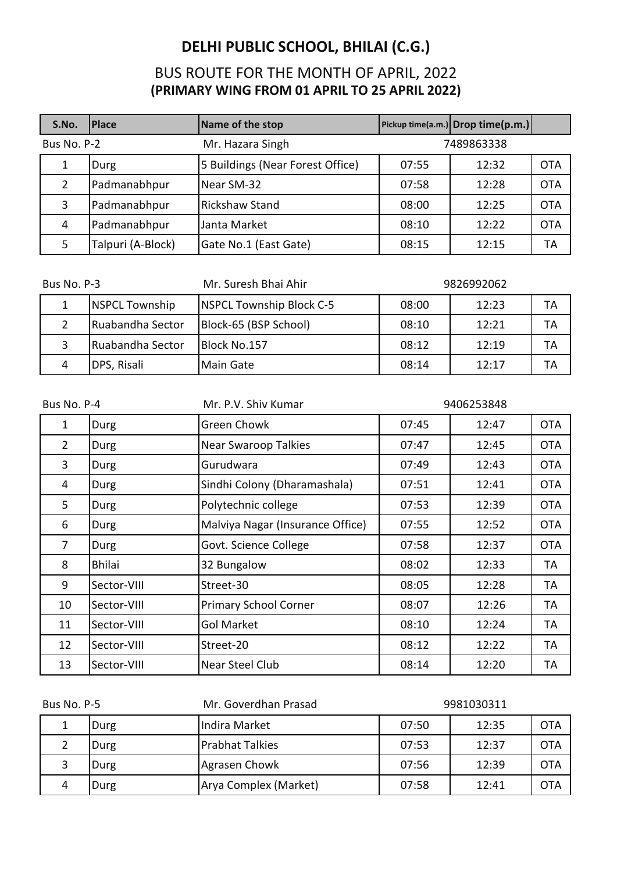| S.No.                           | <b>Place</b>      | Name of the stop                 |            | Pickup time(a.m.) Drop time(p.m.) |            |
|---------------------------------|-------------------|----------------------------------|------------|-----------------------------------|------------|
| Bus No. P-2<br>Mr. Hazara Singh |                   |                                  | 7489863338 |                                   |            |
|                                 | Durg              | 5 Buildings (Near Forest Office) | 07:55      | 12:32                             | <b>OTA</b> |
| 2                               | Padmanabhpur      | Near SM-32                       | 07:58      | 12:28                             | <b>OTA</b> |
| 3                               | Padmanabhpur      | <b>Rickshaw Stand</b>            | 08:00      | 12:25                             | <b>OTA</b> |
| 4                               | Padmanabhpur      | Janta Market                     | 08:10      | 12:22                             | <b>OTA</b> |
| 5                               | Talpuri (A-Block) | Gate No.1 (East Gate)            | 08:15      | 12:15                             | ТA         |

| Bus No. P-3 |                       | Mr. Suresh Bhai Ahir     |       | 9826992062 |    |
|-------------|-----------------------|--------------------------|-------|------------|----|
|             | <b>NSPCL Township</b> | NSPCL Township Block C-5 | 08:00 | 12:23      | ТA |
|             | Ruabandha Sector      | Block-65 (BSP School)    | 08:10 | 12:21      | ТA |
|             | Ruabandha Sector      | Block No.157             | 08:12 | 12:19      | ТA |
| 4           | DPS, Risali           | Main Gate                | 08:14 | 12:17      | ТA |

| Bus No. P-4    |               | Mr. P.V. Shiv Kumar              |       | 9406253848 |            |
|----------------|---------------|----------------------------------|-------|------------|------------|
| 1              | Durg          | Green Chowk                      | 07:45 | 12:47      | <b>OTA</b> |
| $\overline{2}$ | Durg          | <b>Near Swaroop Talkies</b>      | 07:47 | 12:45      | <b>OTA</b> |
| 3              | Durg          | Gurudwara                        | 07:49 | 12:43      | <b>OTA</b> |
| 4              | Durg          | Sindhi Colony (Dharamashala)     | 07:51 | 12:41      | <b>OTA</b> |
| 5              | Durg          | Polytechnic college              | 07:53 | 12:39      | <b>OTA</b> |
| 6              | Durg          | Malviya Nagar (Insurance Office) | 07:55 | 12:52      | <b>OTA</b> |
| $\overline{7}$ | Durg          | Govt. Science College            | 07:58 | 12:37      | <b>OTA</b> |
| 8              | <b>Bhilai</b> | 32 Bungalow                      | 08:02 | 12:33      | <b>TA</b>  |
| 9              | Sector-VIII   | Street-30                        | 08:05 | 12:28      | TA         |
| 10             | Sector-VIII   | <b>Primary School Corner</b>     | 08:07 | 12:26      | TА         |
| 11             | Sector-VIII   | <b>Gol Market</b>                | 08:10 | 12:24      | TA         |
| 12             | Sector-VIII   | Street-20                        | 08:12 | 12:22      | <b>TA</b>  |
| 13             | Sector-VIII   | <b>Near Steel Club</b>           | 08:14 | 12:20      | TA         |

| Mr. Goverdhan Prasad<br>Bus No. P-5 |      | 9981030311            |       |       |            |
|-------------------------------------|------|-----------------------|-------|-------|------------|
|                                     | Durg | Indira Market         | 07:50 | 12:35 | <b>OTA</b> |
|                                     | Durg | Prabhat Talkies       | 07:53 | 12:37 | OTA        |
|                                     | Durg | Agrasen Chowk         | 07:56 | 12:39 | <b>OTA</b> |
|                                     | Durg | Arya Complex (Market) | 07:58 | 12:41 | OTA        |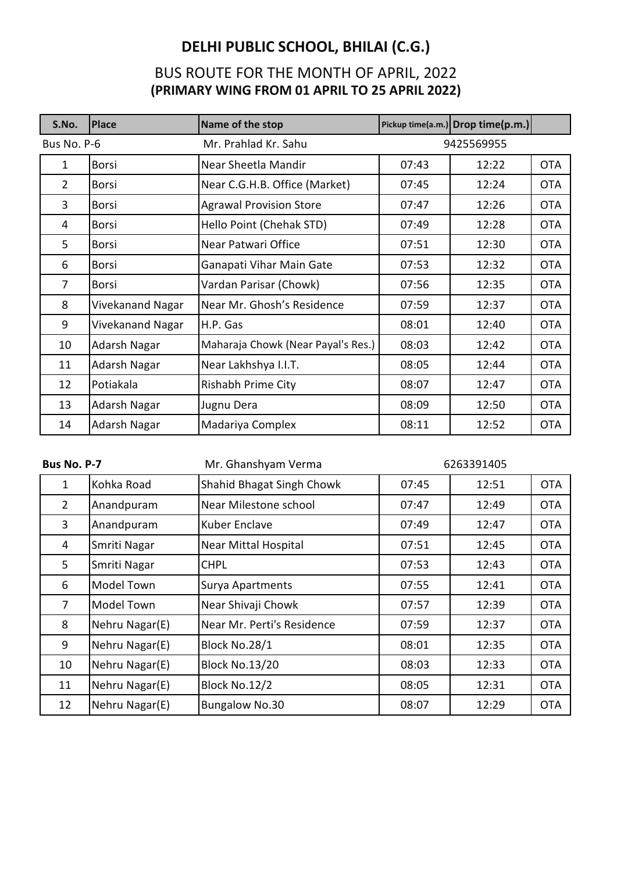| S.No.          | <b>Place</b>            | Name of the stop                   |       | Pickup time(a.m.) Drop time(p.m.) |            |
|----------------|-------------------------|------------------------------------|-------|-----------------------------------|------------|
| Bus No. P-6    |                         | Mr. Prahlad Kr. Sahu               |       | 9425569955                        |            |
| 1              | <b>Borsi</b>            | Near Sheetla Mandir                | 07:43 | 12:22                             | <b>OTA</b> |
| $\overline{2}$ | <b>Borsi</b>            | Near C.G.H.B. Office (Market)      | 07:45 | 12:24                             | <b>OTA</b> |
| 3              | <b>Borsi</b>            | <b>Agrawal Provision Store</b>     | 07:47 | 12:26                             | <b>OTA</b> |
| 4              | <b>Borsi</b>            | Hello Point (Chehak STD)           | 07:49 | 12:28                             | <b>OTA</b> |
| 5              | <b>Borsi</b>            | Near Patwari Office                | 07:51 | 12:30                             | <b>OTA</b> |
| 6              | <b>Borsi</b>            | Ganapati Vihar Main Gate           | 07:53 | 12:32                             | <b>OTA</b> |
| $\overline{7}$ | <b>Borsi</b>            | Vardan Parisar (Chowk)             | 07:56 | 12:35                             | <b>OTA</b> |
| 8              | <b>Vivekanand Nagar</b> | Near Mr. Ghosh's Residence         | 07:59 | 12:37                             | <b>OTA</b> |
| 9              | Vivekanand Nagar        | H.P. Gas                           | 08:01 | 12:40                             | <b>OTA</b> |
| 10             | Adarsh Nagar            | Maharaja Chowk (Near Payal's Res.) | 08:03 | 12:42                             | <b>OTA</b> |
| 11             | Adarsh Nagar            | Near Lakhshya I.I.T.               | 08:05 | 12:44                             | <b>OTA</b> |
| 12             | Potiakala               | Rishabh Prime City                 | 08:07 | 12:47                             | <b>OTA</b> |
| 13             | <b>Adarsh Nagar</b>     | Jugnu Dera                         | 08:09 | 12:50                             | <b>OTA</b> |
| 14             | Adarsh Nagar            | Madariya Complex                   | 08:11 | 12:52                             | <b>OTA</b> |

| Bus No. P-7    |                   | Mr. Ghanshyam Verma        |       | 6263391405 |            |
|----------------|-------------------|----------------------------|-------|------------|------------|
| 1              | Kohka Road        | Shahid Bhagat Singh Chowk  | 07:45 | 12:51      | <b>OTA</b> |
| $\overline{2}$ | Anandpuram        | Near Milestone school      | 07:47 | 12:49      | <b>OTA</b> |
| 3              | Anandpuram        | <b>Kuber Enclave</b>       | 07:49 | 12:47      | <b>OTA</b> |
| 4              | Smriti Nagar      | Near Mittal Hospital       | 07:51 | 12:45      | <b>OTA</b> |
| 5              | Smriti Nagar      | <b>CHPL</b>                | 07:53 | 12:43      | <b>OTA</b> |
| 6              | <b>Model Town</b> | Surya Apartments           | 07:55 | 12:41      | <b>OTA</b> |
| 7              | Model Town        | Near Shivaji Chowk         | 07:57 | 12:39      | <b>OTA</b> |
| 8              | Nehru Nagar(E)    | Near Mr. Perti's Residence | 07:59 | 12:37      | <b>OTA</b> |
| 9              | Nehru Nagar(E)    | Block No.28/1              | 08:01 | 12:35      | <b>OTA</b> |
| 10             | Nehru Nagar(E)    | <b>Block No.13/20</b>      | 08:03 | 12:33      | <b>OTA</b> |
| 11             | Nehru Nagar(E)    | Block No.12/2              | 08:05 | 12:31      | <b>OTA</b> |
| 12             | Nehru Nagar(E)    | <b>Bungalow No.30</b>      | 08:07 | 12:29      | <b>OTA</b> |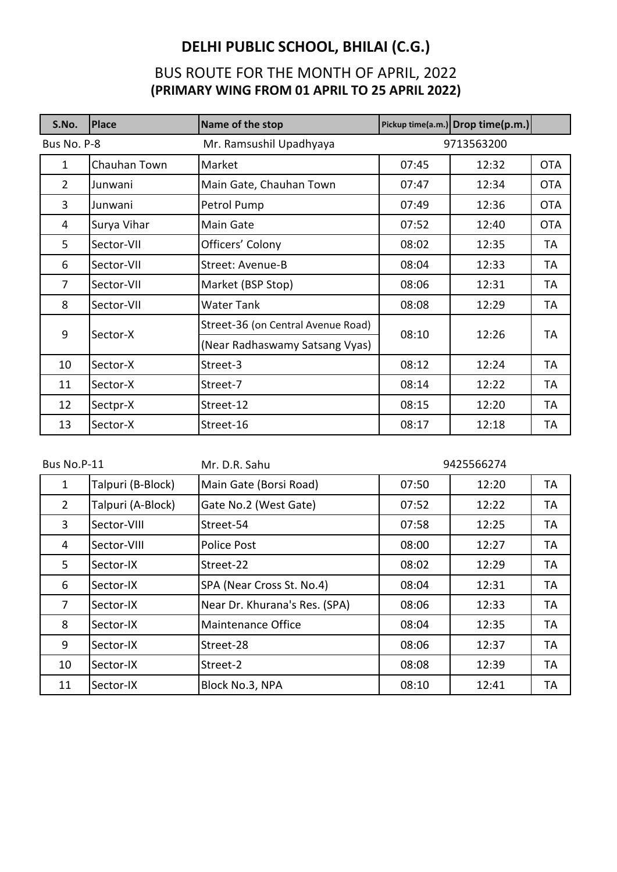| S.No.          | <b>Place</b> | Name of the stop                   |       | Pickup time(a.m.) Drop time(p.m.) |            |
|----------------|--------------|------------------------------------|-------|-----------------------------------|------------|
| Bus No. P-8    |              | Mr. Ramsushil Upadhyaya            |       | 9713563200                        |            |
| $\mathbf{1}$   | Chauhan Town | Market                             | 07:45 | 12:32                             | <b>OTA</b> |
| $\overline{2}$ | Junwani      | Main Gate, Chauhan Town            | 07:47 | 12:34                             | <b>OTA</b> |
| 3              | Junwani      | Petrol Pump                        | 07:49 | 12:36                             | <b>OTA</b> |
| 4              | Surya Vihar  | Main Gate                          | 07:52 | 12:40                             | <b>OTA</b> |
| 5              | Sector-VII   | Officers' Colony                   | 08:02 | 12:35                             | TA         |
| 6              | Sector-VII   | <b>Street: Avenue-B</b>            | 08:04 | 12:33                             | TA         |
| $\overline{7}$ | Sector-VII   | Market (BSP Stop)                  | 08:06 | 12:31                             | TA         |
| 8              | Sector-VII   | <b>Water Tank</b>                  | 08:08 | 12:29                             | <b>TA</b>  |
| 9              |              | Street-36 (on Central Avenue Road) | 08:10 | 12:26                             |            |
|                | Sector-X     | (Near Radhaswamy Satsang Vyas)     |       |                                   | TA         |
| 10             | Sector-X     | Street-3                           | 08:12 | 12:24                             | TA         |
| 11             | Sector-X     | Street-7                           | 08:14 | 12:22                             | TA         |
| 12             | Sectpr-X     | Street-12                          | 08:15 | 12:20                             | TA         |
| 13             | Sector-X     | Street-16                          | 08:17 | 12:18                             | TA         |

| Bus No.P-11    |                   | Mr. D.R. Sahu                 |       | 9425566274 |    |
|----------------|-------------------|-------------------------------|-------|------------|----|
| 1              | Talpuri (B-Block) | Main Gate (Borsi Road)        | 07:50 | 12:20      | TА |
| $\overline{2}$ | Talpuri (A-Block) | Gate No.2 (West Gate)         | 07:52 | 12:22      | TА |
| 3              | Sector-VIII       | Street-54                     | 07:58 | 12:25      | TА |
| 4              | Sector-VIII       | Police Post                   | 08:00 | 12:27      | TА |
| 5              | Sector-IX         | Street-22                     | 08:02 | 12:29      | TА |
| 6              | Sector-IX         | SPA (Near Cross St. No.4)     | 08:04 | 12:31      | TА |
| 7              | Sector-IX         | Near Dr. Khurana's Res. (SPA) | 08:06 | 12:33      | TА |
| 8              | Sector-IX         | Maintenance Office            | 08:04 | 12:35      | TА |
| 9              | Sector-IX         | Street-28                     | 08:06 | 12:37      | TА |
| 10             | Sector-IX         | Street-2                      | 08:08 | 12:39      | TА |
| 11             | Sector-IX         | Block No.3, NPA               | 08:10 | 12:41      | TA |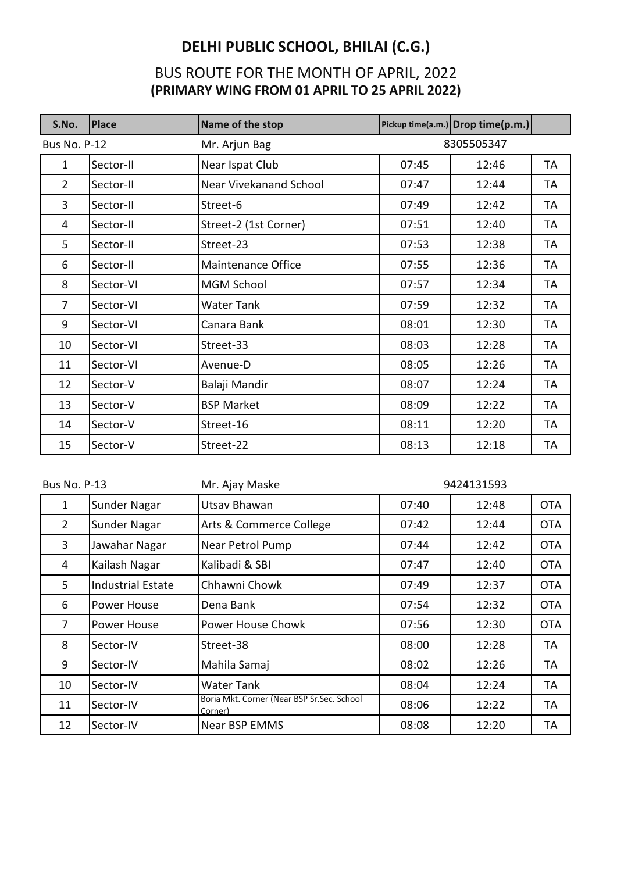| S.No.               | <b>Place</b> | Name of the stop       |       | Pickup time(a.m.) Drop time(p.m.) |           |
|---------------------|--------------|------------------------|-------|-----------------------------------|-----------|
| <b>Bus No. P-12</b> |              | Mr. Arjun Bag          |       | 8305505347                        |           |
| 1                   | Sector-II    | Near Ispat Club        | 07:45 | 12:46                             | TA        |
| $\overline{2}$      | Sector-II    | Near Vivekanand School | 07:47 | 12:44                             | TA        |
| 3                   | Sector-II    | Street-6               | 07:49 | 12:42                             | <b>TA</b> |
| 4                   | Sector-II    | Street-2 (1st Corner)  | 07:51 | 12:40                             | TA        |
| 5                   | Sector-II    | Street-23              | 07:53 | 12:38                             | TA        |
| 6                   | Sector-II    | Maintenance Office     | 07:55 | 12:36                             | TA        |
| 8                   | Sector-VI    | <b>MGM School</b>      | 07:57 | 12:34                             | TA        |
| $\overline{7}$      | Sector-VI    | Water Tank             | 07:59 | 12:32                             | TA        |
| 9                   | Sector-VI    | Canara Bank            | 08:01 | 12:30                             | TA        |
| 10                  | Sector-VI    | Street-33              | 08:03 | 12:28                             | TA        |
| 11                  | Sector-VI    | Avenue-D               | 08:05 | 12:26                             | TA        |
| 12                  | Sector-V     | Balaji Mandir          | 08:07 | 12:24                             | TA        |
| 13                  | Sector-V     | <b>BSP Market</b>      | 08:09 | 12:22                             | TA        |
| 14                  | Sector-V     | Street-16              | 08:11 | 12:20                             | TA        |
| 15                  | Sector-V     | Street-22              | 08:13 | 12:18                             | TA        |

| <b>Bus No. P-13</b> |                          | Mr. Ajay Maske                                        | 9424131593 |       |            |
|---------------------|--------------------------|-------------------------------------------------------|------------|-------|------------|
| 1                   | Sunder Nagar             | Utsav Bhawan                                          | 07:40      | 12:48 | <b>OTA</b> |
| $\overline{2}$      | Sunder Nagar             | Arts & Commerce College                               | 07:42      | 12:44 | <b>OTA</b> |
| 3                   | Jawahar Nagar            | Near Petrol Pump                                      | 07:44      | 12:42 | <b>OTA</b> |
| 4                   | Kailash Nagar            | Kalibadi & SBI                                        | 07:47      | 12:40 | <b>OTA</b> |
| 5                   | <b>Industrial Estate</b> | Chhawni Chowk                                         | 07:49      | 12:37 | <b>OTA</b> |
| 6                   | Power House              | Dena Bank                                             | 07:54      | 12:32 | <b>OTA</b> |
| 7                   | Power House              | Power House Chowk                                     | 07:56      | 12:30 | <b>OTA</b> |
| 8                   | Sector-IV                | Street-38                                             | 08:00      | 12:28 | TA         |
| 9                   | Sector-IV                | Mahila Samaj                                          | 08:02      | 12:26 | TA         |
| 10                  | Sector-IV                | <b>Water Tank</b>                                     | 08:04      | 12:24 | TA         |
| 11                  | Sector-IV                | Boria Mkt. Corner (Near BSP Sr.Sec. School<br>Corner) | 08:06      | 12:22 | TA         |
| 12                  | Sector-IV                | <b>Near BSP EMMS</b>                                  | 08:08      | 12:20 | TA         |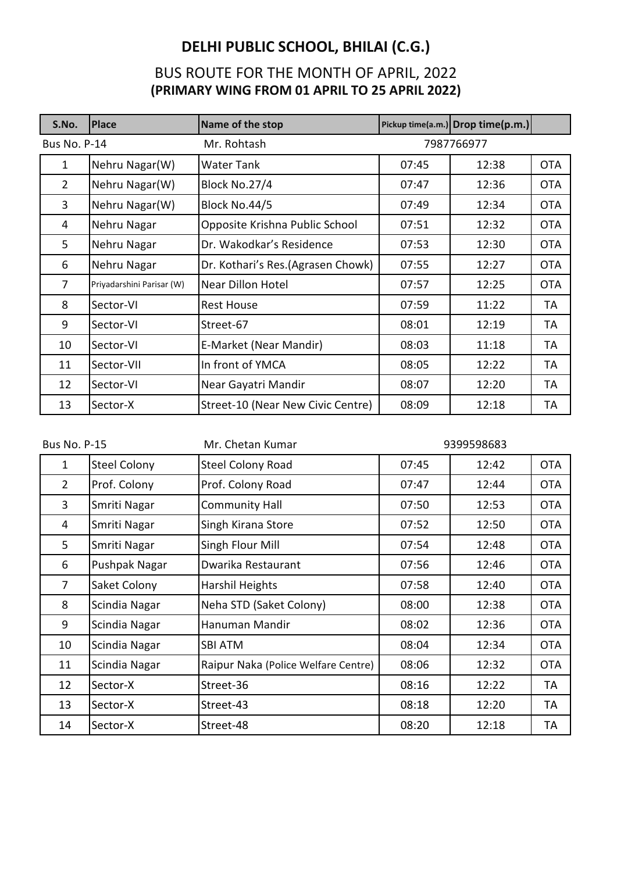| S.No.               | <b>Place</b>              | Name of the stop                  |       | Pickup time(a.m.) Drop time(p.m.) |            |
|---------------------|---------------------------|-----------------------------------|-------|-----------------------------------|------------|
| <b>Bus No. P-14</b> |                           | Mr. Rohtash                       |       | 7987766977                        |            |
| 1                   | Nehru Nagar(W)            | Water Tank                        | 07:45 | 12:38                             | <b>OTA</b> |
| $\overline{2}$      | Nehru Nagar(W)            | Block No.27/4                     | 07:47 | 12:36                             | <b>OTA</b> |
| 3                   | Nehru Nagar(W)            | Block No.44/5                     | 07:49 | 12:34                             | <b>OTA</b> |
| 4                   | Nehru Nagar               | Opposite Krishna Public School    | 07:51 | 12:32                             | <b>OTA</b> |
| 5                   | Nehru Nagar               | Dr. Wakodkar's Residence          | 07:53 | 12:30                             | <b>OTA</b> |
| 6                   | Nehru Nagar               | Dr. Kothari's Res.(Agrasen Chowk) | 07:55 | 12:27                             | <b>OTA</b> |
| $\overline{7}$      | Priyadarshini Parisar (W) | <b>Near Dillon Hotel</b>          | 07:57 | 12:25                             | <b>OTA</b> |
| 8                   | Sector-VI                 | <b>Rest House</b>                 | 07:59 | 11:22                             | TA         |
| 9                   | Sector-VI                 | Street-67                         | 08:01 | 12:19                             | TA         |
| 10                  | Sector-VI                 | E-Market (Near Mandir)            | 08:03 | 11:18                             | <b>TA</b>  |
| 11                  | Sector-VII                | In front of YMCA                  | 08:05 | 12:22                             | TA         |
| 12                  | Sector-VI                 | Near Gayatri Mandir               | 08:07 | 12:20                             | TA         |
| 13                  | Sector-X                  | Street-10 (Near New Civic Centre) | 08:09 | 12:18                             | TA         |

| <b>Bus No. P-15</b> |                     | Mr. Chetan Kumar                    | 9399598683 |       |            |
|---------------------|---------------------|-------------------------------------|------------|-------|------------|
| 1                   | <b>Steel Colony</b> | <b>Steel Colony Road</b>            | 07:45      | 12:42 | <b>OTA</b> |
| $\overline{2}$      | Prof. Colony        | Prof. Colony Road                   | 07:47      | 12:44 | <b>OTA</b> |
| 3                   | Smriti Nagar        | <b>Community Hall</b>               | 07:50      | 12:53 | <b>OTA</b> |
| 4                   | Smriti Nagar        | Singh Kirana Store                  | 07:52      | 12:50 | <b>OTA</b> |
| 5                   | Smriti Nagar        | Singh Flour Mill                    | 07:54      | 12:48 | <b>OTA</b> |
| 6                   | Pushpak Nagar       | Dwarika Restaurant                  | 07:56      | 12:46 | <b>OTA</b> |
| $\overline{7}$      | Saket Colony        | Harshil Heights                     | 07:58      | 12:40 | <b>OTA</b> |
| 8                   | Scindia Nagar       | Neha STD (Saket Colony)             | 08:00      | 12:38 | <b>OTA</b> |
| 9                   | Scindia Nagar       | Hanuman Mandir                      | 08:02      | 12:36 | <b>OTA</b> |
| 10                  | Scindia Nagar       | <b>SBI ATM</b>                      | 08:04      | 12:34 | <b>OTA</b> |
| 11                  | Scindia Nagar       | Raipur Naka (Police Welfare Centre) | 08:06      | 12:32 | <b>OTA</b> |
| 12                  | Sector-X            | Street-36                           | 08:16      | 12:22 | TA         |
| 13                  | Sector-X            | Street-43                           | 08:18      | 12:20 | TA         |
| 14                  | Sector-X            | Street-48                           | 08:20      | 12:18 | TA         |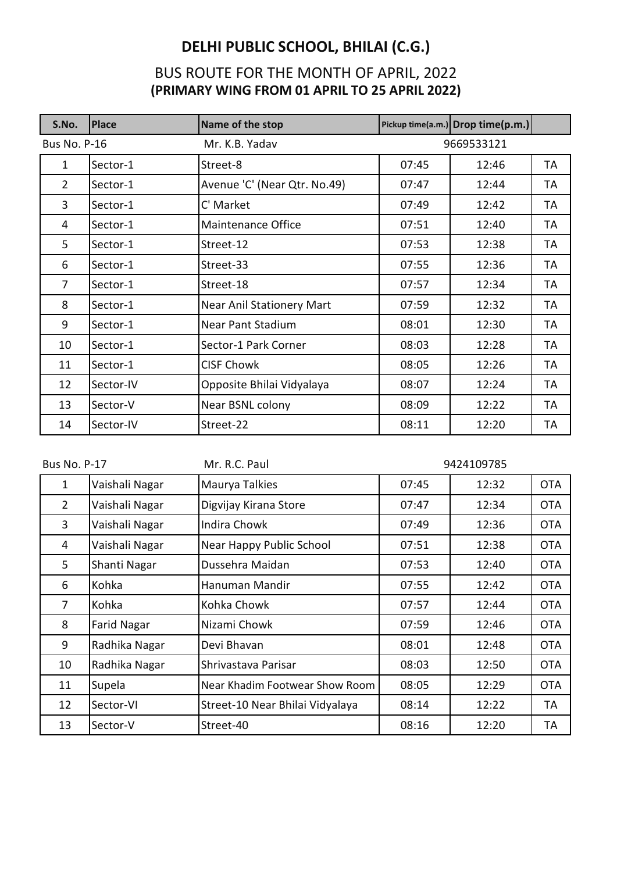| S.No.               | <b>Place</b> | Name of the stop                 |       | Pickup time(a.m.) Drop time(p.m.) |           |
|---------------------|--------------|----------------------------------|-------|-----------------------------------|-----------|
| <b>Bus No. P-16</b> |              | Mr. K.B. Yadav                   |       | 9669533121                        |           |
| $\mathbf{1}$        | Sector-1     | Street-8                         | 07:45 | 12:46                             | TA        |
| $\overline{2}$      | Sector-1     | Avenue 'C' (Near Qtr. No.49)     | 07:47 | 12:44                             | TA        |
| $\overline{3}$      | Sector-1     | C' Market                        | 07:49 | 12:42                             | TA        |
| 4                   | Sector-1     | Maintenance Office               | 07:51 | 12:40                             | TA        |
| 5                   | Sector-1     | Street-12                        | 07:53 | 12:38                             | TA        |
| 6                   | Sector-1     | Street-33                        | 07:55 | 12:36                             | TA        |
| $\overline{7}$      | Sector-1     | Street-18                        | 07:57 | 12:34                             | TA        |
| 8                   | Sector-1     | <b>Near Anil Stationery Mart</b> | 07:59 | 12:32                             | TA        |
| 9                   | Sector-1     | <b>Near Pant Stadium</b>         | 08:01 | 12:30                             | TA        |
| 10                  | Sector-1     | Sector-1 Park Corner             | 08:03 | 12:28                             | TA        |
| 11                  | Sector-1     | <b>CISF Chowk</b>                | 08:05 | 12:26                             | TA        |
| 12                  | Sector-IV    | Opposite Bhilai Vidyalaya        | 08:07 | 12:24                             | <b>TA</b> |
| 13                  | Sector-V     | Near BSNL colony                 | 08:09 | 12:22                             | TA        |
| 14                  | Sector-IV    | Street-22                        | 08:11 | 12:20                             | ТA        |

| <b>Bus No. P-17</b> |                    | Mr. R.C. Paul                   | 9424109785 |       |            |
|---------------------|--------------------|---------------------------------|------------|-------|------------|
| 1                   | Vaishali Nagar     | Maurya Talkies                  | 07:45      | 12:32 | <b>OTA</b> |
| $\overline{2}$      | Vaishali Nagar     | Digvijay Kirana Store           | 07:47      | 12:34 | <b>OTA</b> |
| 3                   | Vaishali Nagar     | <b>Indira Chowk</b>             | 07:49      | 12:36 | <b>OTA</b> |
| 4                   | Vaishali Nagar     | Near Happy Public School        | 07:51      | 12:38 | <b>OTA</b> |
| 5                   | Shanti Nagar       | Dussehra Maidan                 | 07:53      | 12:40 | <b>OTA</b> |
| 6                   | Kohka              | Hanuman Mandir                  | 07:55      | 12:42 | <b>OTA</b> |
| $\overline{7}$      | Kohka              | Kohka Chowk                     | 07:57      | 12:44 | <b>OTA</b> |
| 8                   | <b>Farid Nagar</b> | Nizami Chowk                    | 07:59      | 12:46 | <b>OTA</b> |
| 9                   | Radhika Nagar      | Devi Bhavan                     | 08:01      | 12:48 | <b>OTA</b> |
| 10                  | Radhika Nagar      | Shrivastava Parisar             | 08:03      | 12:50 | <b>OTA</b> |
| 11                  | Supela             | Near Khadim Footwear Show Room  | 08:05      | 12:29 | <b>OTA</b> |
| 12                  | Sector-VI          | Street-10 Near Bhilai Vidyalaya | 08:14      | 12:22 | <b>TA</b>  |
| 13                  | Sector-V           | Street-40                       | 08:16      | 12:20 | TA         |